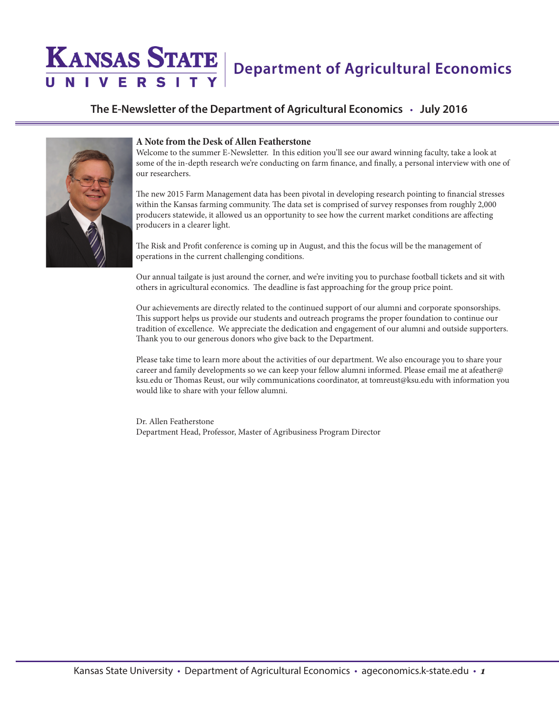## **KANSAS STATE Department of Agricultural Economics**

#### **The E-Newsletter of the Department of Agricultural Economics** • **July 2016**



#### **A Note from the Desk of Allen Featherstone**

Welcome to the summer E-Newsletter. In this edition you'll see our award winning faculty, take a look at some of the in-depth research we're conducting on farm finance, and finally, a personal interview with one of our researchers.

The new 2015 Farm Management data has been pivotal in developing research pointing to financial stresses within the Kansas farming community. The data set is comprised of survey responses from roughly 2,000 producers statewide, it allowed us an opportunity to see how the current market conditions are affecting producers in a clearer light.

The Risk and Profit conference is coming up in August, and this the focus will be the management of operations in the current challenging conditions.

Our annual tailgate is just around the corner, and we're inviting you to purchase football tickets and sit with others in agricultural economics. The deadline is fast approaching for the group price point.

Our achievements are directly related to the continued support of our alumni and corporate sponsorships. This support helps us provide our students and outreach programs the proper foundation to continue our tradition of excellence. We appreciate the dedication and engagement of our alumni and outside supporters. Thank you to our generous donors who give back to the Department.

Please take time to learn more about the activities of our department. We also encourage you to share your career and family developments so we can keep your fellow alumni informed. Please email me at afeather@ ksu.edu or Thomas Reust, our wily communications coordinator, at tomreust@ksu.edu with information you would like to share with your fellow alumni.

Dr. Allen Featherstone Department Head, Professor, Master of Agribusiness Program Director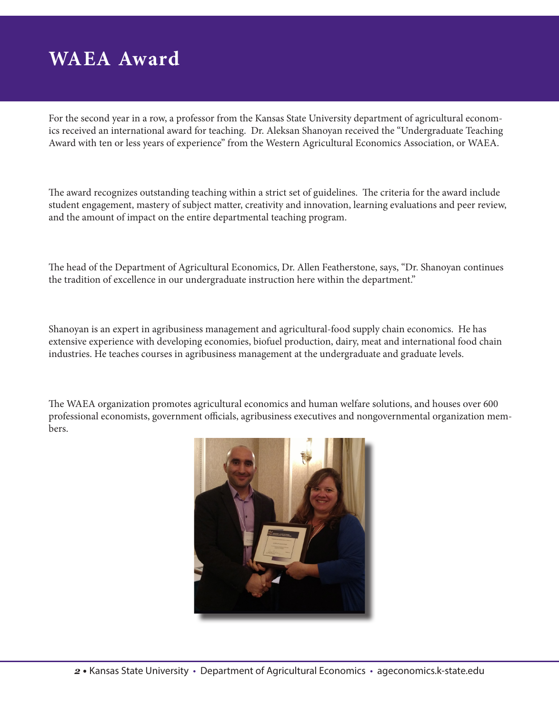# **WAEA Award**

For the second year in a row, a professor from the Kansas State University department of agricultural economics received an international award for teaching. Dr. Aleksan Shanoyan received the "Undergraduate Teaching Award with ten or less years of experience" from the Western Agricultural Economics Association, or WAEA.

The award recognizes outstanding teaching within a strict set of guidelines. The criteria for the award include student engagement, mastery of subject matter, creativity and innovation, learning evaluations and peer review, and the amount of impact on the entire departmental teaching program.

The head of the Department of Agricultural Economics, Dr. Allen Featherstone, says, "Dr. Shanoyan continues the tradition of excellence in our undergraduate instruction here within the department."

Shanoyan is an expert in agribusiness management and agricultural-food supply chain economics. He has extensive experience with developing economies, biofuel production, dairy, meat and international food chain industries. He teaches courses in agribusiness management at the undergraduate and graduate levels.

The WAEA organization promotes agricultural economics and human welfare solutions, and houses over 600 professional economists, government officials, agribusiness executives and nongovernmental organization members.

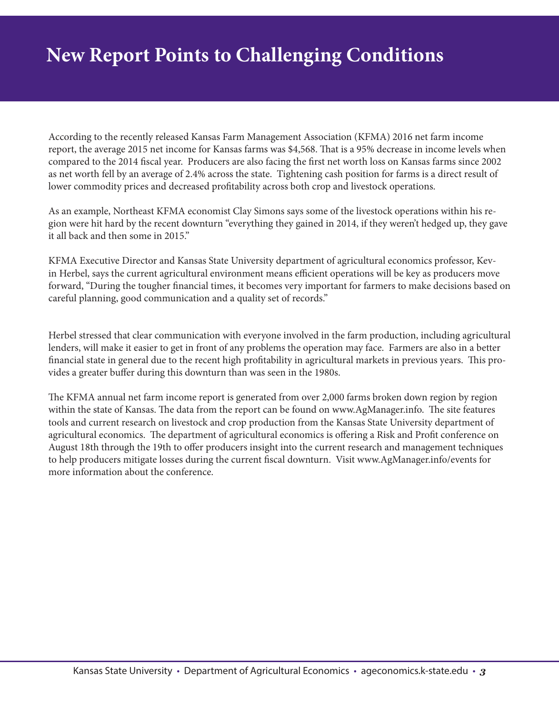## **New Report Points to Challenging Conditions**

According to the recently released Kansas Farm Management Association (KFMA) 2016 net farm income report, the average 2015 net income for Kansas farms was \$4,568. That is a 95% decrease in income levels when compared to the 2014 fiscal year. Producers are also facing the first net worth loss on Kansas farms since 2002 as net worth fell by an average of 2.4% across the state. Tightening cash position for farms is a direct result of lower commodity prices and decreased profitability across both crop and livestock operations.

As an example, Northeast KFMA economist Clay Simons says some of the livestock operations within his region were hit hard by the recent downturn "everything they gained in 2014, if they weren't hedged up, they gave it all back and then some in 2015."

KFMA Executive Director and Kansas State University department of agricultural economics professor, Kevin Herbel, says the current agricultural environment means efficient operations will be key as producers move forward, "During the tougher financial times, it becomes very important for farmers to make decisions based on careful planning, good communication and a quality set of records."

Herbel stressed that clear communication with everyone involved in the farm production, including agricultural lenders, will make it easier to get in front of any problems the operation may face. Farmers are also in a better financial state in general due to the recent high profitability in agricultural markets in previous years. This provides a greater buffer during this downturn than was seen in the 1980s.

The KFMA annual net farm income report is generated from over 2,000 farms broken down region by region within the state of Kansas. The data from the report can be found on www.AgManager.info. The site features tools and current research on livestock and crop production from the Kansas State University department of agricultural economics. The department of agricultural economics is offering a Risk and Profit conference on August 18th through the 19th to offer producers insight into the current research and management techniques to help producers mitigate losses during the current fiscal downturn. Visit www.AgManager.info/events for more information about the conference.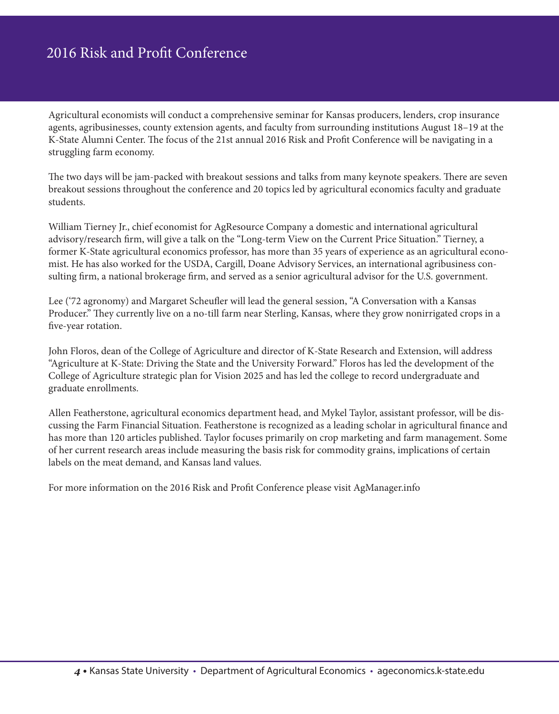### 2016 Risk and Profit Conference

Agricultural economists will conduct a comprehensive seminar for Kansas producers, lenders, crop insurance agents, agribusinesses, county extension agents, and faculty from surrounding institutions August 18–19 at the K-State Alumni Center. The focus of the 21st annual 2016 Risk and Profit Conference will be navigating in a struggling farm economy.

The two days will be jam-packed with breakout sessions and talks from many keynote speakers. There are seven breakout sessions throughout the conference and 20 topics led by agricultural economics faculty and graduate students.

William Tierney Jr., chief economist for AgResource Company a domestic and international agricultural advisory/research firm, will give a talk on the "Long-term View on the Current Price Situation." Tierney, a former K-State agricultural economics professor, has more than 35 years of experience as an agricultural economist. He has also worked for the USDA, Cargill, Doane Advisory Services, an international agribusiness consulting firm, a national brokerage firm, and served as a senior agricultural advisor for the U.S. government.

Lee ('72 agronomy) and Margaret Scheufler will lead the general session, "A Conversation with a Kansas Producer." They currently live on a no-till farm near Sterling, Kansas, where they grow nonirrigated crops in a five-year rotation.

John Floros, dean of the College of Agriculture and director of K-State Research and Extension, will address "Agriculture at K-State: Driving the State and the University Forward." Floros has led the development of the College of Agriculture strategic plan for Vision 2025 and has led the college to record undergraduate and graduate enrollments.

Allen Featherstone, agricultural economics department head, and Mykel Taylor, assistant professor, will be discussing the Farm Financial Situation. Featherstone is recognized as a leading scholar in agricultural finance and has more than 120 articles published. Taylor focuses primarily on crop marketing and farm management. Some of her current research areas include measuring the basis risk for commodity grains, implications of certain labels on the meat demand, and Kansas land values.

For more information on the 2016 Risk and Profit Conference please visit AgManager.info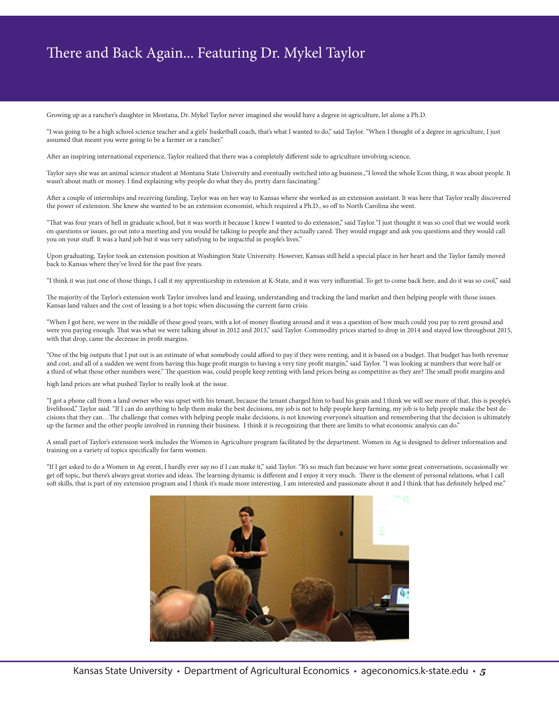### There and Back Again... Featuring Dr. Mykel Taylor

Growing up as a rancher's daughter in Montana, Dr. Mykel Taylor never imagined she would have a degree in agriculture, let alone a Ph.D.

"I was going to be a high school science teacher and a girls' basketball coach, that's what I wanted to do," said Taylor. "When I thought of a degree in agriculture, I just assumed that meant you were going to be a farmer or a rancher."

After an inspiring international experience, Taylor realized that there was a completely different side to agriculture involving science,

Taylor says she was an animal science student at Montana State University and eventually switched into ag business.,"I loved the whole Econ thing, it was about people. It wasn't about math or money. I find explaining why people do what they do, pretty darn fascinating."

After a couple of internships and receiving funding, Taylor was on her way to Kansas where she worked as an extension assistant. It was here that Taylor really discovered the power of extension. She knew she wanted to be an extension economist, which required a Ph.D., so off to North Carolina she went.

"That was four years of hell in graduate school, but it was worth it because I knew I wanted to do extension," said Taylor."I just thought it was so cool that we would work on questions or issues, go out into a meeting and you would be talking to people and they actually cared. They would engage and ask you questions and they would call you on your stuff. It was a hard job but it was very satisfying to be impactful in people's lives."

Upon graduating, Taylor took an extension position at Washington State University. However, Kansas still held a special place in her heart and the Taylor family moved back to Kansas where they've lived for the past five years.

"I think it was just one of those things, I call it my apprenticeship in extension at K-State, and it was very influential. To get to come back here, and do it was so cool," said

The majority of the Taylor's extension work Taylor involves land and leasing, understanding and tracking the land market and then helping people with those issues. Kansas land values and the cost of leasing is a hot topic when discussing the current farm crisis.

"When I got here, we were in the middle of these good years, with a lot of money floating around and it was a question of how much could you pay to rent ground and were you paying enough. That was what we were talking about in 2012 and 2013," said Taylor. Commodity prices started to drop in 2014 and stayed low throughout 2015, with that drop, came the decrease in profit margins.

"One of the big outputs that I put out is an estimate of what somebody could afford to pay if they were renting, and it is based on a budget. That budget has both revenue and cost, and all of a sudden we went from having this huge profit margin to having a very tiny profit margin," said Taylor. "I was looking at numbers that were half or a third of what those other numbers were." The question was, could people keep renting with land prices being as competitive as they are? The small profit margins and

high land prices are what pushed Taylor to really look at the issue.

"I got a phone call from a land owner who was upset with his tenant, because the tenant charged him to haul his grain and I think we will see more of that, this is people's livelihood," Taylor said. "If I can do anything to help them make the best decisions, my job is not to help people keep farming, my job is to help people make the best decisions that they can…The challenge that comes with helping people make decisions, is not knowing everyone's situation and remembering that the decision is ultimately up the farmer and the other people involved in running their business. I think it is recognizing that there are limits to what economic analysis can do."

A small part of Taylor's extension work includes the Women in Agriculture program facilitated by the department. Women in Ag is designed to deliver information and training on a variety of topics specifically for farm women.

"If I get asked to do a Women in Ag event, I hardly ever say no if I can make it," said Taylor. "It's so much fun because we have some great conversations, occasionally we get off topic, but there's always great stories and ideas. The learning dynamic is different and I enjoy it very much. There is the element of personal relations, what I call soft skills, that is part of my extension program and I think it's made more interesting. I am interested and passionate about it and I think that has definitely helped me."